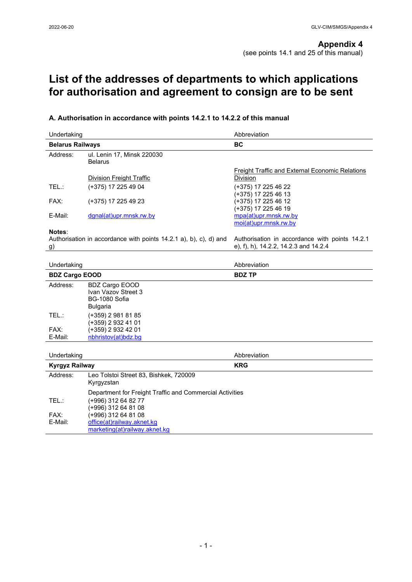# **List of the addresses of departments to which applications for authorisation and agreement to consign are to be sent**

# **A. Authorisation in accordance with points 14.2.1 to 14.2.2 of this manual**

| Undertaking<br><b>Belarus Railways</b> |                                                                                  | Abbreviation                                                                            |  |
|----------------------------------------|----------------------------------------------------------------------------------|-----------------------------------------------------------------------------------------|--|
|                                        |                                                                                  | <b>BC</b>                                                                               |  |
| Address:                               | ul. Lenin 17, Minsk 220030<br><b>Belarus</b>                                     |                                                                                         |  |
|                                        | <b>Division Freight Traffic</b>                                                  | <b>Freight Traffic and External Economic Relations</b><br><b>Division</b>               |  |
| TEL:                                   | (+375) 17 225 49 04                                                              | (+375) 17 225 46 22<br>(+375) 17 225 46 13                                              |  |
| FAX:                                   | (+375) 17 225 49 23                                                              | (+375) 17 225 46 12<br>(+375) 17 225 46 19                                              |  |
| E-Mail:                                | dgnal(at)upr.mnsk.rw.by                                                          | mpa(at)upr.mnsk.rw.by<br>moi(at)upr.mnsk.rw.by                                          |  |
| Notes:<br>g)                           | Authorisation in accordance with points 14.2.1 a), b), c), d) and                | Authorisation in accordance with points 14.2.1<br>e), f), h), 14.2.2, 14.2.3 and 14.2.4 |  |
| Undertaking                            |                                                                                  | Abbreviation                                                                            |  |
| <b>BDZ Cargo EOOD</b>                  |                                                                                  | <b>BDZ TP</b>                                                                           |  |
| Address:                               | <b>BDZ Cargo EOOD</b><br>Ivan Vazov Street 3<br><b>BG-1080 Sofia</b><br>Bulgaria |                                                                                         |  |
| TEL:                                   | (+359) 2 981 81 85<br>(+359) 2 932 41 01                                         |                                                                                         |  |
| FAX:<br>E-Mail:                        | (+359) 2 932 42 01<br>nbhristov(at)bdz.bg                                        |                                                                                         |  |
|                                        |                                                                                  |                                                                                         |  |
| Undertaking                            |                                                                                  | Abbreviation                                                                            |  |
| <b>Kyrgyz Railway</b>                  |                                                                                  | <b>KRG</b>                                                                              |  |
| Address:                               | Leo Tolstoi Street 83, Bishkek, 720009<br>Kyrgyzstan                             |                                                                                         |  |
|                                        | Department for Freight Traffic and Commercial Activities                         |                                                                                         |  |
| TEL:                                   | (+996) 312 64 82 77<br>$(+996)$ 312 64 81 08                                     |                                                                                         |  |
| FAX:                                   | (+996) 312 64 81 08                                                              |                                                                                         |  |
| E-Mail:                                | office(at)railway.aknet.kg<br>marketing(at)railway.aknet.kg                      |                                                                                         |  |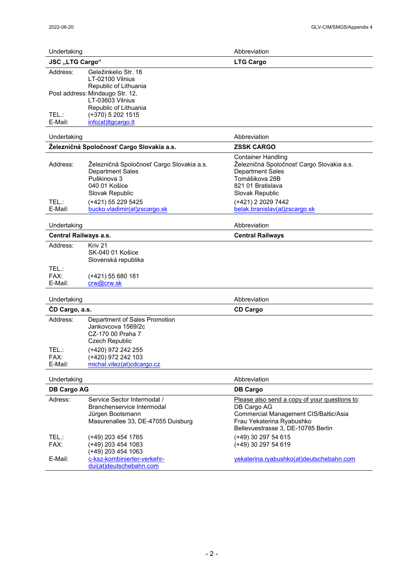| Undertaking                 |                                                                                                                                                                               | Abbreviation                                                                                                                                                                                                       |  |
|-----------------------------|-------------------------------------------------------------------------------------------------------------------------------------------------------------------------------|--------------------------------------------------------------------------------------------------------------------------------------------------------------------------------------------------------------------|--|
| <b>JSC</b> "LTG Cargo"      |                                                                                                                                                                               | <b>LTG Cargo</b>                                                                                                                                                                                                   |  |
| Address:                    | Geležinkelio Str. 16<br>LT-02100 Vilnius<br>Republic of Lithuania                                                                                                             |                                                                                                                                                                                                                    |  |
|                             | Post address: Mindaugo Str. 12,<br>LT-03603 Vilnius                                                                                                                           |                                                                                                                                                                                                                    |  |
| TEL:                        | Republic of Lithuania<br>(+370) 5 202 1515                                                                                                                                    |                                                                                                                                                                                                                    |  |
| E-Mail:                     | info(at)ltgcargo.lt                                                                                                                                                           |                                                                                                                                                                                                                    |  |
| Undertaking                 |                                                                                                                                                                               | Abbreviation                                                                                                                                                                                                       |  |
|                             | Železničná Spoločnosť Cargo Slovakia a.s.                                                                                                                                     | <b>ZSSK CARGO</b>                                                                                                                                                                                                  |  |
| Address:<br>TEL:<br>E-Mail: | Železničná Spoločnosť Cargo Slovakia a.s.<br><b>Department Sales</b><br>Puškinova 3<br>040 01 Košice<br>Slovak Republic<br>(+421) 55 229 5425<br>bucko.vladimir(at)zscargo.sk | <b>Container Handling</b><br>Železničná Spoločnosť Cargo Slovakia a.s.<br><b>Department Sales</b><br>Tomášikova 28B<br>821 01 Bratislava<br>Slovak Republic<br>(+421) 2 2029 7442<br>belak.branislav(at)zscargo.sk |  |
| Undertaking                 |                                                                                                                                                                               | Abbreviation                                                                                                                                                                                                       |  |
|                             | <b>Central Railways a.s.</b>                                                                                                                                                  | <b>Central Railways</b>                                                                                                                                                                                            |  |
| Address:                    | Kriv 21<br>SK-040 01 Košice<br>Slovenská republika                                                                                                                            |                                                                                                                                                                                                                    |  |
| TEL.:<br>FAX:<br>E-Mail:    | (+421) 55 680 181<br>crw@crw.sk                                                                                                                                               |                                                                                                                                                                                                                    |  |
| Undertaking                 |                                                                                                                                                                               | Abbreviation                                                                                                                                                                                                       |  |
| ČD Cargo, a.s.              |                                                                                                                                                                               | <b>CD Cargo</b>                                                                                                                                                                                                    |  |
| Address:                    | Department of Sales Promotion<br>Jankovcova 1569/2c<br>CZ-170 00 Praha 7<br>Czech Republic                                                                                    |                                                                                                                                                                                                                    |  |
| TEL.:                       | (+420) 972 242 255                                                                                                                                                            |                                                                                                                                                                                                                    |  |
| FAX:<br>E-Mail:             | (+420) 972 242 103<br>michal.vitez(at)cdcargo.cz                                                                                                                              |                                                                                                                                                                                                                    |  |
|                             |                                                                                                                                                                               |                                                                                                                                                                                                                    |  |
| Undertaking                 |                                                                                                                                                                               | Abbreviation                                                                                                                                                                                                       |  |
| <b>DB Cargo AG</b>          |                                                                                                                                                                               | <b>DB Cargo</b>                                                                                                                                                                                                    |  |
| Adress:                     | Service Sector Intermodal /<br>Branchenservice Intermodal<br>Jürgen Bootsmann<br>Masurenallee 33, DE-47055 Duisburg                                                           | Please also send a copy of your questions to:<br>DB Cargo AG<br>Commercial Management CIS/Baltic/Asia<br>Frau Yekaterina Ryabushko<br>Bellevuestrasse 3, DE-10785 Berlin                                           |  |
| TEL.:<br>FAX:               | (+49) 203 454 1765<br>(+49) 203 454 1083<br>(+49) 203 454 1063                                                                                                                | (+49) 30 297 54 615<br>(+49) 30 297 54 619                                                                                                                                                                         |  |
| E-Mail:                     | c-ksz-kombinierter-verkehr-<br>dui(at)deutschebahn.com                                                                                                                        | yekaterina.ryabushko(at)deutschebahn.com                                                                                                                                                                           |  |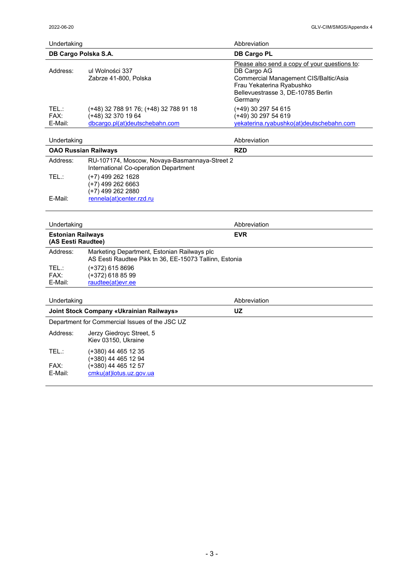| Undertaking<br>DB Cargo Polska S.A. |                                                                                                | Abbreviation                                                                                                                                                                        |  |
|-------------------------------------|------------------------------------------------------------------------------------------------|-------------------------------------------------------------------------------------------------------------------------------------------------------------------------------------|--|
|                                     |                                                                                                | <b>DB Cargo PL</b>                                                                                                                                                                  |  |
| Address:                            | ul Wolności 337<br>Zabrze 41-800, Polska                                                       | Please also send a copy of your questions to:<br>DB Cargo AG<br>Commercial Management CIS/Baltic/Asia<br>Frau Yekaterina Ryabushko<br>Bellevuestrasse 3, DE-10785 Berlin<br>Germany |  |
| TEL.:<br>FAX:<br>E-Mail:            | (+48) 32 788 91 76; (+48) 32 788 91 18<br>(+48) 32 370 19 64<br>dbcargo.pl(at)deutschebahn.com | (+49) 30 297 54 615<br>(+49) 30 297 54 619<br>yekaterina.ryabushko(at)deutschebahn.com                                                                                              |  |

| Undertaking |                                                                                        | Abbreviation |  |
|-------------|----------------------------------------------------------------------------------------|--------------|--|
|             | <b>OAO Russian Railways</b>                                                            | <b>RZD</b>   |  |
| Address:    | RU-107174, Moscow, Novaya-Basmannaya-Street 2<br>International Co-operation Department |              |  |
| TEL.:       | (+7) 499 262 1628<br>(+7) 499 262 6663<br>(+7) 499 262 2880                            |              |  |
| E-Mail:     | rennela(at)center.rzd.ru                                                               |              |  |

# Undertaking **Abbreviation Abbreviation**

| <b>Estonian Railways</b><br>(AS Eesti Raudtee) |                                                                                                       | <b>EVR</b> |  |
|------------------------------------------------|-------------------------------------------------------------------------------------------------------|------------|--|
| Address:                                       | Marketing Department, Estonian Railways plc<br>AS Eesti Raudtee Pikk tn 36, EE-15073 Tallinn, Estonia |            |  |
| TEL.:<br>FAX:<br>E-Mail:                       | (+372) 615 8696<br>(+372) 618 85 99<br>raudtee(at)evr.ee                                              |            |  |

| Undertaking                              |                                                 | Abbreviation |
|------------------------------------------|-------------------------------------------------|--------------|
| Joint Stock Company «Ukrainian Railways» |                                                 | UZ           |
|                                          | Department for Commercial Issues of the JSC UZ  |              |
| Address:                                 | Jerzy Giedroyc Street, 5<br>Kiev 03150, Ukraine |              |
| TEL.:                                    | (+380) 44 465 12 35<br>(+380) 44 465 12 94      |              |
| FAX:<br>E-Mail:                          | (+380) 44 465 12 57<br>cmku(at)lotus.uz.gov.ua  |              |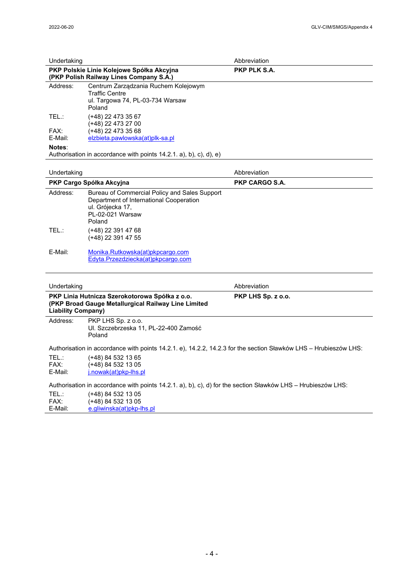| Undertaking<br>PKP Polskie Linie Kolejowe Spółka Akcyjna<br>(PKP Polish Railway Lines Company S.A.) |                                                                                                                                            | Abbreviation<br>PKP PLK S.A. |  |
|-----------------------------------------------------------------------------------------------------|--------------------------------------------------------------------------------------------------------------------------------------------|------------------------------|--|
|                                                                                                     |                                                                                                                                            |                              |  |
| TEL:                                                                                                | (+48) 22 473 35 67<br>(+48) 22 473 27 00                                                                                                   |                              |  |
| FAX:<br>E-Mail:                                                                                     | $(+48)$ 22 473 35 68<br>elzbieta.pawlowska(at)plk-sa.pl                                                                                    |                              |  |
| Notes:                                                                                              | Authorisation in accordance with points $14.2.1$ . a), b), c), d), e)                                                                      |                              |  |
| Undertaking                                                                                         |                                                                                                                                            | Abbreviation                 |  |
|                                                                                                     | PKP Cargo Spółka Akcyjna                                                                                                                   | <b>PKP CARGO S.A.</b>        |  |
| Address:                                                                                            | Bureau of Commercial Policy and Sales Support<br>Department of International Cooperation<br>ul. Grójecka 17,<br>PL-02-021 Warsaw<br>Poland |                              |  |
| TEL:                                                                                                | (+48) 22 391 47 68<br>(+48) 22 391 47 55                                                                                                   |                              |  |
| E-Mail:                                                                                             | Monika.Rutkowska(at)pkpcargo.com<br>Edyta.Przezdziecka(at)pkpcargo.com                                                                     |                              |  |
| Undertaking                                                                                         |                                                                                                                                            | Abbreviation                 |  |
| <b>Liability Company)</b>                                                                           | PKP Linia Hutnicza Szerokotorowa Spółka z o.o.<br>(PKP Broad Gauge Metallurgical Railway Line Limited                                      | PKP LHS Sp. z o.o.           |  |
| Address:                                                                                            | PKP LHS Sp. z o.o.<br>Ul. Szczebrzeska 11, PL-22-400 Zamość<br>Poland                                                                      |                              |  |
|                                                                                                     | Authorisation in accordance with points 14.2.1. e), 14.2.2, 14.2.3 for the section Sławków LHS – Hrubieszów LHS:                           |                              |  |
| TEL:<br>FAX:<br>E-Mail:                                                                             | (+48) 84 532 13 65<br>(+48) 84 532 13 05<br>j.nowak(at)pkp-lhs.pl                                                                          |                              |  |
|                                                                                                     | Authorisation in accordance with points 14.2.1. a), b), c), d) for the section Sławków LHS – Hrubieszów LHS:                               |                              |  |
| TEL:<br>FAX:<br>E-Mail:                                                                             | (+48) 84 532 13 05<br>$(+48)$ 84 532 13 05<br>e.gliwinska(at)pkp-lhs.pl                                                                    |                              |  |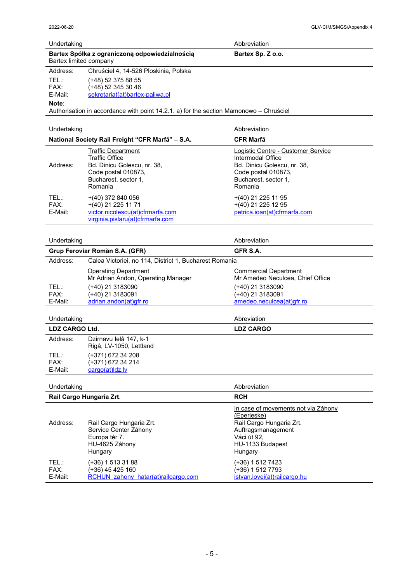$\overline{a}$ 

| Undertaking            |                                                                                        | Abbreviation      |  |
|------------------------|----------------------------------------------------------------------------------------|-------------------|--|
| Bartex limited company | Bartex Spółka z ograniczoną odpowiedzialnością                                         | Bartex Sp. Z o.o. |  |
| Address:               | Chruściel 4, 14-526 Ploskinia, Polska                                                  |                   |  |
| TEL.:<br>FAX:          | (+48) 52 375 88 55<br>(+48) 52 345 30 46                                               |                   |  |
| E-Mail:                | sekretariat(at)bartex-paliwa.pl                                                        |                   |  |
| Note:                  | Authorisation in accordance with point 14.2.1. a) for the section Mamonowo – Chrusciel |                   |  |

| Undertaking                                      |                                                                                                                                             | Abbreviation                                                                                                                                     |
|--------------------------------------------------|---------------------------------------------------------------------------------------------------------------------------------------------|--------------------------------------------------------------------------------------------------------------------------------------------------|
| National Society Rail Freight "CFR Marfă" - S.A. |                                                                                                                                             | <b>CFR Marfă</b>                                                                                                                                 |
| Address:                                         | <b>Traffic Department</b><br><b>Traffic Office</b><br>Bd. Dinicu Golescu, nr. 38,<br>Code postal 010873,<br>Bucharest, sector 1,<br>Romania | Logistic Centre - Customer Service<br>Intermodal Office<br>Bd. Dinicu Golescu, nr. 38,<br>Code postal 010873,<br>Bucharest, sector 1,<br>Romania |
| TEL.:<br>FAX:<br>E-Mail:                         | $+(40)$ 372 840 056<br>$+(40)$ 21 225 11 71<br>victor.nicolescu(at)cfrmarfa.com<br>virginia.pislaru(at)cfrmarfa.com                         | $+(40)$ 21 225 11 95<br>$+(40)$ 21 225 12 95<br>petrica.ioan(at)cfrmarfa.com                                                                     |

# Undertaking **Abbreviation**

| Grup Feroviar Romăn S.A. (GFR) |                                                                   | GFR S.A.                                                            |
|--------------------------------|-------------------------------------------------------------------|---------------------------------------------------------------------|
| Address:                       | Calea Victoriei, no 114, District 1, Bucharest Romania            |                                                                     |
|                                | <b>Operating Department</b><br>Mr Adrian Andon, Operating Manager | <b>Commercial Department</b><br>Mr Amedeo Neculcea, Chief Office    |
| TEL.:<br>FAX:<br>E-Mail:       | (+40) 21 3183090<br>(+40) 21 3183091<br>adrian.andon(at)gfr.ro    | (+40) 21 3183090<br>$(+40)$ 21 3183091<br>amedeo.neculcea(at)qfr.ro |

# Undertaking **Abreviation**

l,

| LDZ CARGO Ltd. |                        | <b>LDZ CARGO</b> |
|----------------|------------------------|------------------|
| Address:       | Dzirnavu lelå 147, k-1 |                  |

|         | Rigå, LV-1050, Lettland |
|---------|-------------------------|
| TFL :   | (+371) 672 34 208       |
| FAX:    | (+371) 672 34 214       |
| E-Mail: | cargo(at) dz. lv        |

| Undertaking              |                                                                                                 | Abbreviation                                                                                                                                       |
|--------------------------|-------------------------------------------------------------------------------------------------|----------------------------------------------------------------------------------------------------------------------------------------------------|
|                          | Rail Cargo Hungaria Zrt.                                                                        | <b>RCH</b>                                                                                                                                         |
| Address:                 | Rail Cargo Hungaria Zrt.<br>Service Center Záhony<br>Europa tér 7.<br>HU-4625 Záhony<br>Hungary | In case of movements not via Záhony<br>(Eperjeske)<br>Rail Cargo Hungaria Zrt.<br>Auftragsmanagement<br>Váci út 92.<br>HU-1133 Budapest<br>Hungary |
| TEL.:<br>FAX:<br>E-Mail: | (+36) 1 513 31 88<br>(+36) 45 425 160<br>RCHUN zahony hatar(at)railcargo.com                    | (+36) 1 512 7423<br>(+36) 1 512 7793<br>istvan.lovei(at)railcargo.hu                                                                               |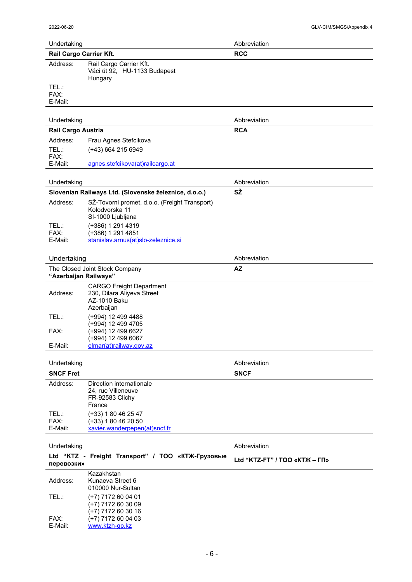| Undertaking              |                                                                                             | Abbreviation                  |
|--------------------------|---------------------------------------------------------------------------------------------|-------------------------------|
| Rail Cargo Carrier Kft.  |                                                                                             | <b>RCC</b>                    |
| Address:                 | Rail Cargo Carrier Kft.<br>Váci út 92, HU-1133 Budapest<br>Hungary                          |                               |
| TEL.:<br>FAX:<br>E-Mail: |                                                                                             |                               |
| Undertaking              |                                                                                             | Abbreviation                  |
| Rail Cargo Austria       |                                                                                             | <b>RCA</b>                    |
| Address:                 | Frau Agnes Stefcikova                                                                       |                               |
| TEL:<br>FAX:<br>E-Mail:  | (+43) 664 215 6949                                                                          |                               |
|                          | agnes.stefcikova(at)railcargo.at                                                            |                               |
| Undertaking              |                                                                                             | Abbreviation                  |
|                          | Slovenian Railways Ltd. (Slovenske železnice, d.o.o.)                                       | SŽ                            |
| Address:                 | SŽ-Tovorni promet, d.o.o. (Freight Transport)<br>Kolodvorska 11<br>SI-1000 Ljubljana        |                               |
| TEL.:<br>FAX:<br>E-Mail: | (+386) 1 291 4319<br>(+386) 1 291 4851<br>stanislav.arnus(at)slo-zeleznice.si               |                               |
| Undertaking              |                                                                                             | Abbreviation                  |
| "Azerbaijan Railways"    | The Closed Joint Stock Company                                                              | <b>AZ</b>                     |
| Address:                 | <b>CARGO Freight Department</b><br>230, Dilara Aliyeva Street<br>AZ-1010 Baku<br>Azerbaijan |                               |
| TEL:                     | (+994) 12 499 4488<br>(+994) 12 499 4705                                                    |                               |
| FAX:                     | (+994) 12 499 6627<br>(+994) 12 499 6067                                                    |                               |
| E-Mail:                  | elmar(at)railway.gov.az                                                                     |                               |
| Undertaking              |                                                                                             | Abbreviation                  |
| <b>SNCF Fret</b>         |                                                                                             | <b>SNCF</b>                   |
| Address:                 | Direction internationale<br>24, rue Villeneuve<br>FR-92583 Clichy<br>France                 |                               |
| TEL:                     | $(+33)$ 1 80 46 25 47                                                                       |                               |
| FAX:<br>E-Mail:          | $(+33)$ 1 80 46 20 50<br>xavier.wanderpepen(at)sncf.fr                                      |                               |
|                          |                                                                                             |                               |
| Undertaking              |                                                                                             | Abbreviation                  |
| перевозки»               | Ltd "KTZ - Freight Transport" / ТОО «КТЖ-Грузовые                                           | Ltd "KTZ-FT" / TOO «KTЖ - ГП» |
| Address:                 | Kazakhstan<br>Kunaeva Street 6<br>010000 Nur-Sultan                                         |                               |
| TEL:                     | (+7) 7172 60 04 01<br>(+7) 7172 60 30 09<br>(+7) 7172 60 30 16                              |                               |
| FAX:<br>E-Mail:          | $(+7)$ 7172 60 04 03<br>www.ktzh-gp.kz                                                      |                               |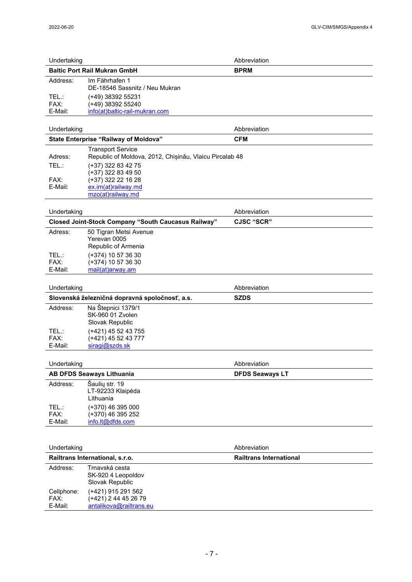| Undertaking                   |                                                                                     | Abbreviation                   |
|-------------------------------|-------------------------------------------------------------------------------------|--------------------------------|
|                               | <b>Baltic Port Rail Mukran GmbH</b>                                                 | <b>BPRM</b>                    |
| Address:                      | Im Fährhafen 1<br>DE-18546 Sassnitz / Neu Mukran                                    |                                |
| TEL:<br>FAX:                  | (+49) 38392 55231<br>$(+49)$ 38392 55240                                            |                                |
| E-Mail:                       | info(at)baltic-rail-mukran.com                                                      |                                |
| Undertaking                   |                                                                                     | Abbreviation                   |
|                               | State Enterprise "Railway of Moldova"                                               | <b>CFM</b>                     |
| Adress:                       | <b>Transport Service</b><br>Republic of Moldova, 2012, Chișinău, Vlaicu Pircalab 48 |                                |
| TEL:                          | (+37) 322 83 42 75<br>$(+37)$ 322 83 49 50                                          |                                |
| FAX:                          | (+37) 322 22 16 28                                                                  |                                |
| E-Mail:                       | ex.im(at)railway.md<br>mzo(at)railway.md                                            |                                |
| Undertaking                   |                                                                                     | Abbreviation                   |
|                               | <b>Closed Joint-Stock Company "South Caucasus Railway"</b>                          | <b>CJSC "SCR"</b>              |
| Adress:                       | 50 Tigran Metsi Avenue<br>Yerevan 0005<br>Republic of Armenia                       |                                |
| TEL:                          | (+374) 10 57 36 30                                                                  |                                |
| FAX:                          | (+374) 10 57 36 30                                                                  |                                |
| E-Mail:                       | mail(at)arway.am                                                                    |                                |
| Undertaking                   |                                                                                     | Abbreviation                   |
|                               | Slovenská železničná dopravná spoločnosť, a.s.                                      | <b>SZDS</b>                    |
| Address:                      | Na Štepnici 1379/1<br>SK-960 01 Zvolen<br>Slovak Republic                           |                                |
| TEL:                          | (+421) 45 52 43 755                                                                 |                                |
| FAX:<br>E-Mail:               | $(+421)$ 45 52 43 777<br>siragi@szds.sk                                             |                                |
|                               |                                                                                     |                                |
| Undertaking                   |                                                                                     | Abbreviation                   |
|                               | <b>AB DFDS Seaways Lithuania</b>                                                    | <b>DFDS Seaways LT</b>         |
| Address:                      | Šaulių str. 19<br>LT-92233 Klaipėda<br>Lithuania                                    |                                |
| TEL.:                         | (+370) 46 395 000                                                                   |                                |
| FAX:<br>E-Mail:               | (+370) 46 395 252<br>info.lt@dfds.com                                               |                                |
|                               |                                                                                     |                                |
| Undertaking                   |                                                                                     | Abbreviation                   |
|                               | Railtrans International, s.r.o.                                                     | <b>Railtrans International</b> |
| Address:                      | Trnavská cesta<br>SK-920 4 Leopoldov<br>Slovak Republic                             |                                |
| Cellphone:<br>FAX:<br>E-Mail: | (+421) 915 291 562<br>$(+421)$ 2 44 45 26 79<br>antalikova@railtrans.eu             |                                |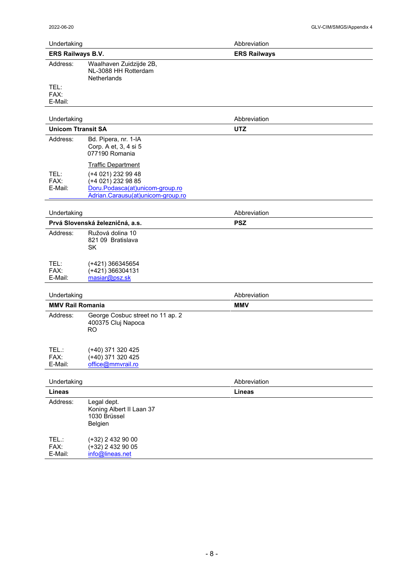| Undertaking               |                                                                                                                                               | Abbreviation        |  |
|---------------------------|-----------------------------------------------------------------------------------------------------------------------------------------------|---------------------|--|
| ERS Railways B.V.         |                                                                                                                                               | <b>ERS Railways</b> |  |
| Address:                  | Waalhaven Zuidzijde 2B,<br>NL-3088 HH Rotterdam<br><b>Netherlands</b>                                                                         |                     |  |
| TEL:<br>FAX:<br>E-Mail:   |                                                                                                                                               |                     |  |
| Undertaking               |                                                                                                                                               | Abbreviation        |  |
| <b>Unicom Ttransit SA</b> |                                                                                                                                               | <b>UTZ</b>          |  |
| Address:                  | Bd. Pipera, nr. 1-IA<br>Corp. A et, 3, 4 si 5<br>077190 Romania                                                                               |                     |  |
| TEL:<br>FAX:<br>E-Mail:   | <b>Traffic Department</b><br>(+4 021) 232 99 48<br>(+4 021) 232 98 85<br>Doru.Podasca(at)unicom-group.ro<br>Adrian.Carausu(at)unicom-group.ro |                     |  |
| Undertaking               |                                                                                                                                               | Abbreviation        |  |
|                           | Prvá Slovenská železničná, a.s.                                                                                                               | <b>PSZ</b>          |  |
| Address:                  | Ružová dolina 10<br>821 09 Bratislava<br><b>SK</b>                                                                                            |                     |  |
| TEL:<br>FAX:<br>E-Mail:   | (+421) 366345654<br>$(+421)$ 366304131<br>masiar@psz.sk                                                                                       |                     |  |
| Undertaking               |                                                                                                                                               | Abbreviation        |  |
| <b>MMV Rail Romania</b>   |                                                                                                                                               | <b>MMV</b>          |  |
| Address:                  | George Cosbuc street no 11 ap. 2<br>400375 Cluj Napoca<br><b>RO</b>                                                                           |                     |  |
| TEL.:<br>FAX:<br>E-Mail:  | (+40) 371 320 425<br>(+40) 371 320 425<br>office@mmvrail.ro                                                                                   |                     |  |
| Undertaking               |                                                                                                                                               | Abbreviation        |  |
| <b>Lineas</b>             |                                                                                                                                               | <b>Lineas</b>       |  |
| Address:                  | Legal dept.<br>Koning Albert II Laan 37<br>1030 Brüssel<br>Belgien                                                                            |                     |  |
| TEL.:<br>FAX:<br>E-Mail:  | (+32) 2 432 90 00<br>(+32) 2 432 90 05<br>info@lineas.net                                                                                     |                     |  |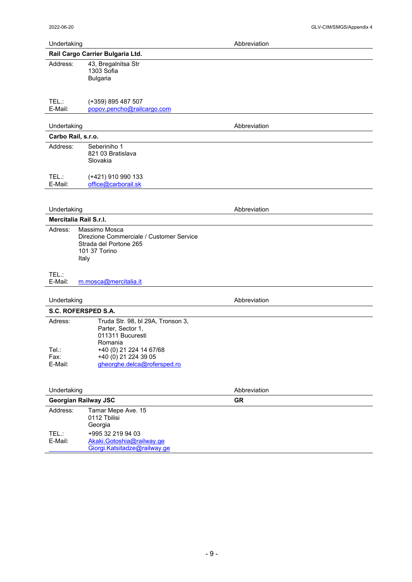E-Mail: <u>Akaki.Gotoshia@railway.ge</u>

Giorgi.Katsitadze@railway.ge

| Undertaking                 |                                                                                                               | Abbreviation |
|-----------------------------|---------------------------------------------------------------------------------------------------------------|--------------|
|                             | Rail Cargo Carrier Bulgaria Ltd.                                                                              |              |
| Address:                    | 43, Bregalnitsa Str<br>1303 Sofia<br><b>Bulgaria</b>                                                          |              |
| TEL:<br>E-Mail:             | (+359) 895 487 507<br>popov.pencho@railcargo.com                                                              |              |
| Undertaking                 |                                                                                                               | Abbreviation |
| Carbo Rail, s.r.o.          |                                                                                                               |              |
| Address:                    | Seberiniho 1<br>821 03 Bratislava<br>Slovakia                                                                 |              |
| TEL:<br>E-Mail:             | (+421) 910 990 133<br>office@carborail.sk                                                                     |              |
|                             |                                                                                                               |              |
| Undertaking                 |                                                                                                               | Abbreviation |
| Mercitalia Rail S.r.l.      |                                                                                                               |              |
| Adress:                     | Massimo Mosca<br>Direzione Commerciale / Customer Service<br>Strada del Portone 265<br>101 37 Torino<br>Italy |              |
| TEL:<br>E-Mail:             | m.mosca@mercitalia.it                                                                                         |              |
| Undertaking                 |                                                                                                               | Abbreviation |
| S.C. ROFERSPED S.A.         |                                                                                                               |              |
| Adress:                     | Truda Str. 98, bl 29A, Tronson 3,<br>Parter, Sector 1,<br>011311 Bucuresti<br>Romania                         |              |
| Tel.:<br>Fax:               | +40 (0) 21 224 14 67/68<br>+40 (0) 21 224 39 05                                                               |              |
| E-Mail:                     | gheorghe.delca@rofersped.ro                                                                                   |              |
| Undertaking                 |                                                                                                               | Abbreviation |
| <b>Georgian Railway JSC</b> |                                                                                                               | <b>GR</b>    |
| Address:                    | Tamar Mepe Ave. 15<br>0112 Tbilisi<br>Georgia                                                                 |              |
| TEL.:                       | +995 32 219 94 03                                                                                             |              |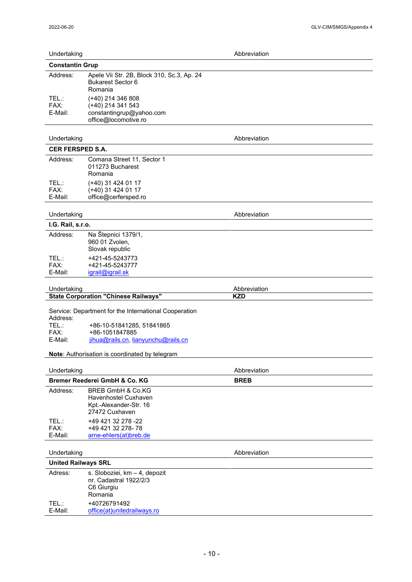|  | Undertaking |
|--|-------------|
|  |             |
|  |             |

|                          | <b>Constantin Grup</b>                                                                     |  |
|--------------------------|--------------------------------------------------------------------------------------------|--|
| Address:                 | Apele Vii Str. 2B, Block 310, Sc.3, Ap. 24<br><b>Bukarest Sector 6</b><br>Romania          |  |
| TEL.:<br>FAX:<br>E-Mail: | (+40) 214 346 808<br>(+40) 214 341 543<br>constantingrup@yahoo.com<br>office@locomotive.ro |  |

Abbreviation

#### Undertaking **Abbreviation Abbreviation**

|                          | <b>CER FERSPED S.A.</b>                                          |              |  |
|--------------------------|------------------------------------------------------------------|--------------|--|
| Address:                 | Comana Street 11, Sector 1<br>011273 Bucharest<br>Romania        |              |  |
| TEL.:<br>FAX:<br>E-Mail: | (+40) 31 424 01 17<br>(+40) 31 424 01 17<br>office@cerfersped.ro |              |  |
| Undertaking              |                                                                  | Abbreviation |  |

# $I \cap R$

| 1.G. Rail, S.ľ.O.        |                                                          |  |   |  |  |
|--------------------------|----------------------------------------------------------|--|---|--|--|
| Address:                 | Na Štepnici 1379/1,<br>960 01 Zvolen,<br>Slovak republic |  |   |  |  |
| TEL.:<br>FAX:<br>E-Mail: | +421-45-5243773<br>+421-45-5243777<br>igrail@igrail.sk   |  |   |  |  |
| .                        |                                                          |  | . |  |  |

| Jndertakınd                                    | reviation<br>-------<br>שר |
|------------------------------------------------|----------------------------|
| Corporation "Chinese P<br>State<br>. Railwavs" | .<br>᠁                     |
|                                                |                            |

Service: Department for the International Cooperation Address:<br>TEL.: TEL.: +86-10-51841285, 51841865<br>FAX: +86-1051847885 FAX: +86-1051847885<br>E-Mail: jihua@rails.cn, lia [jihua@rails.cn](mailto:jihua@rails.cn), [lianyunchu@rails.cn](mailto:lianyunchu@rails.cn)

**Note**: Authorisation is coordinated by telegram

| Undertaking                   |                                                                                                  | Abbreviation |  |
|-------------------------------|--------------------------------------------------------------------------------------------------|--------------|--|
| Bremer Reederei GmbH & Co. KG |                                                                                                  | <b>BREB</b>  |  |
| Address:                      | <b>BREB GmbH &amp; Co.KG</b><br>Havenhostel Cuxhaven<br>Kpt.-Alexander-Str. 16<br>27472 Cuxhaven |              |  |
| TEL.:<br>FAX:<br>E-Mail:      | +49 421 32 278 -22<br>+49 421 32 278-78<br>arne-ehlers(at)breb.de                                |              |  |

### Undertaking **Abbreviation**

#### **United Railways SRL** Adress: s. Sloboziei, km - 4, depozit nr. Cadastral 1922/2/3 C6 Giurgiu Romania TEL.: +40726791492<br>E-Mail: office(at)unitedr [office\(at\)unitedrailways.ro](mailto:office@unitedrailways.ro)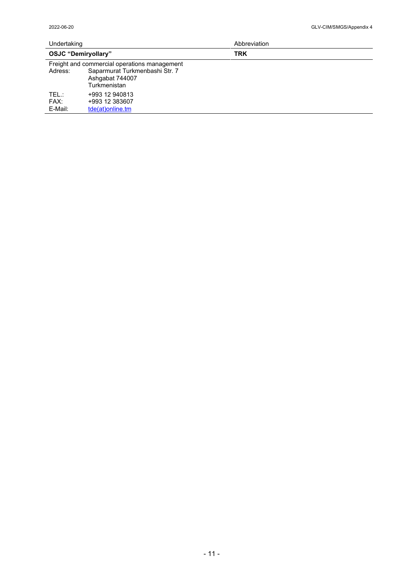| Undertaking                |                                                                   | Abbreviation |  |
|----------------------------|-------------------------------------------------------------------|--------------|--|
| <b>OSJC "Demiryollary"</b> |                                                                   | <b>TRK</b>   |  |
|                            | Freight and commercial operations management                      |              |  |
| Adress:                    | Saparmurat Turkmenbashi Str. 7<br>Ashgabat 744007<br>Turkmenistan |              |  |
| TEL.:<br>FAX:<br>E-Mail:   | +993 12 940813<br>+993 12 383607<br>tde(at)online.tm              |              |  |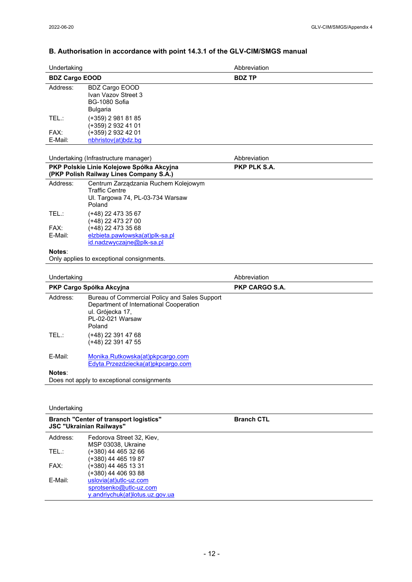# **B. Authorisation in accordance with point 14.3.1 of the GLV-CIM/SMGS manual**

| Undertaking           |                                                                                                                                            | Abbreviation      |
|-----------------------|--------------------------------------------------------------------------------------------------------------------------------------------|-------------------|
| <b>BDZ Cargo EOOD</b> |                                                                                                                                            | <b>BDZ TP</b>     |
| Address:              | <b>BDZ Cargo EOOD</b><br>Ivan Vazov Street 3<br>BG-1080 Sofia<br>Bulgaria                                                                  |                   |
| TEL:                  | (+359) 2 981 81 85<br>(+359) 2 932 41 01                                                                                                   |                   |
| FAX:<br>E-Mail:       | (+359) 2 932 42 01<br>nbhristov(at)bdz.bg                                                                                                  |                   |
|                       | Undertaking (Infrastructure manager)                                                                                                       | Abbreviation      |
|                       | PKP Polskie Linie Kolejowe Spółka Akcyjna<br>(PKP Polish Railway Lines Company S.A.)                                                       | PKP PLK S.A.      |
| Address:              | Centrum Zarządzania Ruchem Kolejowym<br><b>Traffic Centre</b><br>Ul. Targowa 74, PL-03-734 Warsaw<br>Poland                                |                   |
| TEL:                  | (+48) 22 473 35 67<br>(+48) 22 473 27 00                                                                                                   |                   |
| FAX:<br>E-Mail:       | (+48) 22 473 35 68<br>elzbieta.pawlowska(at)plk-sa.pl<br>id.nadzwyczajne@plk-sa.pl                                                         |                   |
| Notes:                | Only applies to exceptional consignments.                                                                                                  |                   |
|                       |                                                                                                                                            |                   |
| Undertaking           |                                                                                                                                            | Abbreviation      |
|                       | PKP Cargo Spółka Akcyjna                                                                                                                   | PKP CARGO S.A.    |
| Address:              | Bureau of Commercial Policy and Sales Support<br>Department of International Cooperation<br>ul. Grójecka 17,<br>PL-02-021 Warsaw<br>Poland |                   |
| TEL:                  | (+48) 22 391 47 68<br>(+48) 22 391 47 55                                                                                                   |                   |
| E-Mail:               | Monika.Rutkowska(at)pkpcargo.com<br>Edyta.Przezdziecka(at)pkpcargo.com                                                                     |                   |
| Notes:                | Does not apply to exceptional consignments                                                                                                 |                   |
|                       |                                                                                                                                            |                   |
| Undertaking           |                                                                                                                                            |                   |
|                       | <b>Branch "Center of transport logistics"</b><br><b>JSC "Ukrainian Railways"</b>                                                           | <b>Branch CTL</b> |
| Address:              | Fedorova Street 32, Kiev,<br>MSP 03038, Ukraine                                                                                            |                   |

FAX: (+380) 44 465 13 31 (+380) 44 406 93 88 E-Mail: <u>uslovia(at)utlc-uz.com</u> sprotsenko@utlc-uz.com y.andriychuk(at)lotus.uz.gov.ua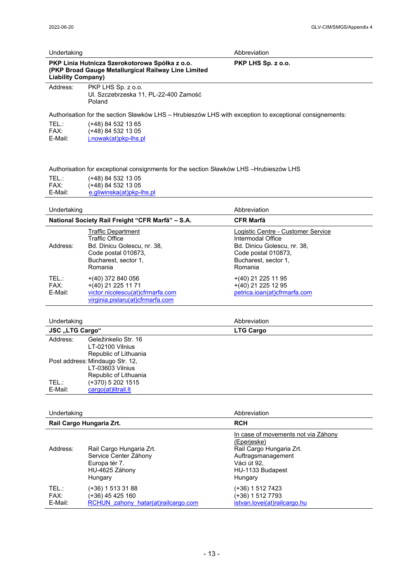| Undertaking                                                                                                                        |                                                                                                                                             | Abbreviation                                                                                                                                     |  |
|------------------------------------------------------------------------------------------------------------------------------------|---------------------------------------------------------------------------------------------------------------------------------------------|--------------------------------------------------------------------------------------------------------------------------------------------------|--|
| PKP Linia Hutnicza Szerokotorowa Spółka z o.o.<br>(PKP Broad Gauge Metallurgical Railway Line Limited<br><b>Liability Company)</b> |                                                                                                                                             | PKP LHS Sp. z o.o.                                                                                                                               |  |
| Address:                                                                                                                           | PKP LHS Sp. z o.o.<br>Ul. Szczebrzeska 11, PL-22-400 Zamość<br>Poland                                                                       |                                                                                                                                                  |  |
|                                                                                                                                    | Authorisation for the section Sławków LHS - Hrubieszów LHS with exception to exceptional consignements:                                     |                                                                                                                                                  |  |
| TEL:<br>FAX:<br>E-Mail:                                                                                                            | (+48) 84 532 13 65<br>$(+48)$ 84 532 13 05<br>j.nowak(at)pkp-lhs.pl                                                                         |                                                                                                                                                  |  |
|                                                                                                                                    | Authorisation for exceptional consignments for the section Sławków LHS -Hrubieszów LHS                                                      |                                                                                                                                                  |  |
| TEL:<br>FAX:<br>E-Mail:                                                                                                            | (+48) 84 532 13 05<br>(+48) 84 532 13 05<br>e.gliwinska(at)pkp-lhs.pl                                                                       |                                                                                                                                                  |  |
| Undertaking                                                                                                                        |                                                                                                                                             | Abbreviation                                                                                                                                     |  |
|                                                                                                                                    | National Society Rail Freight "CFR Marfă" - S.A.                                                                                            | <b>CFR Marfă</b>                                                                                                                                 |  |
| Address:                                                                                                                           | <b>Traffic Department</b><br><b>Traffic Office</b><br>Bd. Dinicu Golescu, nr. 38,<br>Code postal 010873,<br>Bucharest, sector 1,<br>Romania | Logistic Centre - Customer Service<br>Intermodal Office<br>Bd. Dinicu Golescu, nr. 38,<br>Code postal 010873,<br>Bucharest, sector 1,<br>Romania |  |
| TEL.:<br>FAX:<br>E-Mail:                                                                                                           | $+(40)$ 372 840 056<br>+(40) 21 225 11 71<br>victor.nicolescu(at)cfrmarfa.com<br>virginia.pislaru(at)cfrmarfa.com                           | +(40) 21 225 11 95<br>+(40) 21 225 12 95<br>petrica.ioan(at)cfrmarfa.com                                                                         |  |
| Undertaking                                                                                                                        |                                                                                                                                             | Abbreviation                                                                                                                                     |  |
| <b>JSC</b> "LTG Cargo"                                                                                                             |                                                                                                                                             | <b>LTG Cargo</b>                                                                                                                                 |  |
| Address:                                                                                                                           | Geležinkelio Str. 16<br>LT-02100 Vilnius<br>Republic of Lithuania                                                                           |                                                                                                                                                  |  |
|                                                                                                                                    | Post address: Mindaugo Str. 12,<br>LT-03603 Vilnius<br>Republic of Lithuania                                                                |                                                                                                                                                  |  |
| TEL:<br>E-Mail:                                                                                                                    | (+370) 5 202 1515<br>cargo(at)litrail.lt                                                                                                    |                                                                                                                                                  |  |
| Undertaking                                                                                                                        |                                                                                                                                             | Abbreviation                                                                                                                                     |  |
|                                                                                                                                    | Rail Cargo Hungaria Zrt.                                                                                                                    | <b>RCH</b>                                                                                                                                       |  |
| Address:                                                                                                                           | Rail Cargo Hungaria Zrt.<br>Service Center Záhony<br>Europa tér 7.                                                                          | In case of movements not via Záhony<br><u>(Eperjeske)</u><br>Rail Cargo Hungaria Zrt.<br>Auftragsmanagement<br>Váci út 92,                       |  |

|         | $L$ ulupa iti $L$ .                 | vau ur oz.                   |  |
|---------|-------------------------------------|------------------------------|--|
|         | HU-4625 Záhony                      | HU-1133 Budapest             |  |
|         | Hungary                             | Hungary                      |  |
| TEL.:   | $(+36)$ 1 513 31 88                 | $(+36)$ 1 512 7423           |  |
| FAX:    | (+36) 45 425 160                    | $(+36)$ 1 512 7793           |  |
| E-Mail: | RCHUN zahony hatar(at)railcargo.com | istvan.lovei(at)railcargo.hu |  |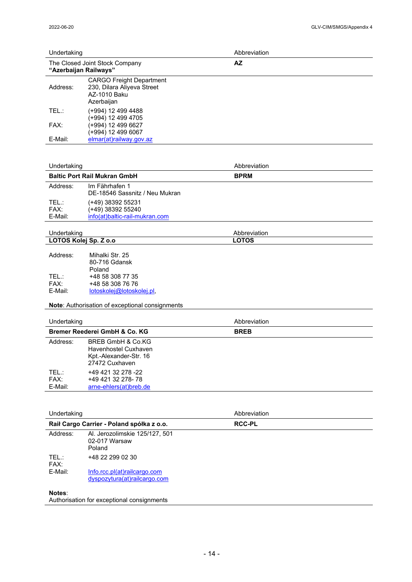| Undertaking             |                                                                                                  | Abbreviation  |
|-------------------------|--------------------------------------------------------------------------------------------------|---------------|
| "Azerbaijan Railways"   | The Closed Joint Stock Company                                                                   | <b>AZ</b>     |
| Address:                | <b>CARGO Freight Department</b><br>230, Dilara Aliyeva Street<br>AZ-1010 Baku<br>Azerbaijan      |               |
| TEL:                    | (+994) 12 499 4488<br>(+994) 12 499 4705                                                         |               |
| FAX:                    | (+994) 12 499 6627<br>(+994) 12 499 6067                                                         |               |
| E-Mail:                 | elmar(at)railway.gov.az                                                                          |               |
| Undertaking             |                                                                                                  | Abbreviation  |
|                         | <b>Baltic Port Rail Mukran GmbH</b>                                                              | <b>BPRM</b>   |
| Address:                | Im Fährhafen 1<br>DE-18546 Sassnitz / Neu Mukran                                                 |               |
| TEL:<br>FAX:<br>E-Mail: | (+49) 38392 55231<br>(+49) 38392 55240<br>info(at)baltic-rail-mukran.com                         |               |
| Undertaking             |                                                                                                  | Abbreviation  |
| LOTOS Kolej Sp. Z o.o   |                                                                                                  | <b>LOTOS</b>  |
| Address:                | Mihalki Str. 25<br>80-716 Gdansk<br>Poland                                                       |               |
| TEL:                    | +48 58 308 77 35                                                                                 |               |
| FAX:<br>E-Mail:         | +48 58 308 76 76<br>lotoskolej@lotoskolej.pl,                                                    |               |
|                         | Note: Authorisation of exceptional consignments                                                  |               |
| Undertaking             |                                                                                                  | Abbreviation  |
|                         | Bremer Reederei GmbH & Co. KG                                                                    | <b>BREB</b>   |
| Address:                | <b>BREB GmbH &amp; Co.KG</b><br>Havenhostel Cuxhaven<br>Kpt.-Alexander-Str. 16<br>27472 Cuxhaven |               |
| TEL.:<br>FAX:           | +49 421 32 278 -22<br>+49 421 32 278-78                                                          |               |
| E-Mail:                 | arne-ehlers(at)breb.de                                                                           |               |
|                         |                                                                                                  |               |
| Undertaking             |                                                                                                  | Abbreviation  |
|                         | Raił Cargo Carrier - Poland spółka z o.o.                                                        | <b>RCC-PL</b> |
| Address:                | Al. Jerozolimskie 125/127, 501<br>02-017 Warsaw                                                  |               |

|         | Poland                       |
|---------|------------------------------|
| TFL :   | +48 22 299 02 30             |
| FAX:    |                              |
| F-Mail: | Info.rcc.pl(at)railcargo.com |
|         | dyspozytura(at)railcargo.com |

### **Notes**:

Authorisation for exceptional consignments